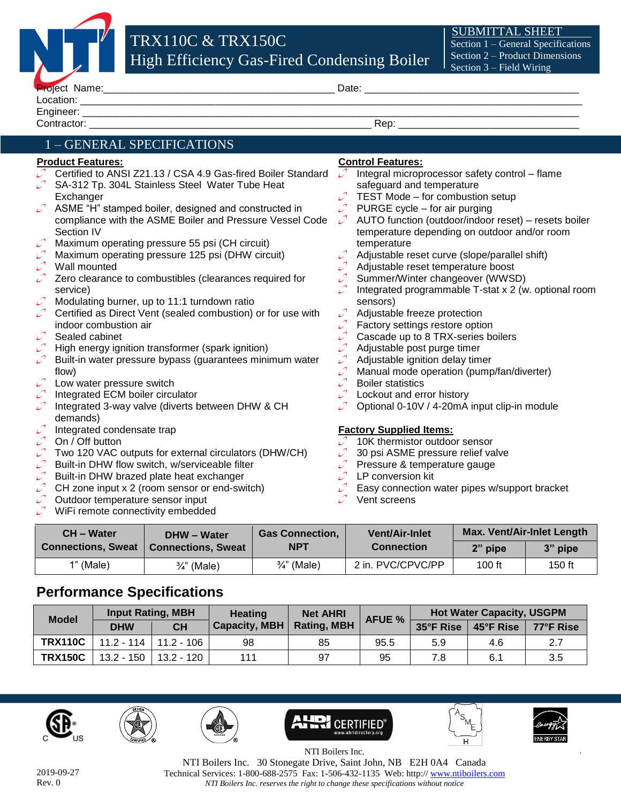

| <b>FTUICLE INQUILE.</b> | Dalt |
|-------------------------|------|
| ocation.                |      |
| Engineer:               |      |
| Ontra.                  | Rep  |

## 1 – GENERAL SPECIFICATIONS

### **Product Features:**

- Certified to ANSI Z21.13 / CSA 4.9 Gas-fired Boiler Standard SA-312 Tp. 304L Stainless Steel Water Tube Heat
- í. **Exchanger**
- ASME "H" stamped boiler, designed and constructed in compliance with the ASME Boiler and Pressure Vessel Code Section IV
- Maximum operating pressure 55 psi (CH circuit)
- Maximum operating pressure 125 psi (DHW circuit)
- Wall mounted
- Zero clearance to combustibles (clearances required for service)
- Modulating burner, up to 11:1 turndown ratio
- Certified as Direct Vent (sealed combustion) or for use with indoor combustion air
- Sealed cabinet
- High energy ignition transformer (spark ignition)
- Built-in water pressure bypass (guarantees minimum water flow)
- Low water pressure switch
- Integrated ECM boiler circulator
- Integrated 3-way valve (diverts between DHW & CH demands)
- Integrated condensate trap
- On / Off button
- Two 120 VAC outputs for external circulators (DHW/CH)
- Built-in DHW flow switch, w/serviceable filter
- Built-in DHW brazed plate heat exchanger
- CH zone input x 2 (room sensor or end-switch)
- Outdoor temperature sensor input
- WiFi remote connectivity embedded

## **Control Features:**

- Integral microprocessor safety control flame ر safeguard and temperature
- TEST Mode for combustion setup
- $\mathcal{L}$ PURGE cycle – for air purging
- AUTO function (outdoor/indoor reset) resets boiler temperature depending on outdoor and/or room temperature
- Adjustable reset curve (slope/parallel shift)
- Adjustable reset temperature boost
- Summer/Winter changeover (WWSD)
- Integrated programmable T-stat x 2 (w. optional room sensors)
- Adjustable freeze protection
- Factory settings restore option
- Cascade up to 8 TRX-series boilers
- Adjustable post purge timer
- Adjustable ignition delay timer
- Manual mode operation (pump/fan/diverter)
- Boiler statistics
- Lockout and error history
- Optional 0-10V / 4-20mA input clip-in module

#### **Factory Supplied Items:**

- 10K thermistor outdoor sensor
- 30 psi ASME pressure relief valve
- Pressure & temperature gauge
- LP conversion kit
- Easy connection water pipes w/support bracket
- Vent screens

| <b>CH-Water</b>           | DHW - Water               | <b>Gas Connection,</b> | <b>Vent/Air-Inlet</b> | <b>Max. Vent/Air-Inlet Length</b> |         |
|---------------------------|---------------------------|------------------------|-----------------------|-----------------------------------|---------|
| <b>Connections, Sweat</b> | <b>Connections, Sweat</b> | <b>NPT</b>             | <b>Connection</b>     | 2" pipe                           | 3" pipe |
| $1"$ (Male)               | $\frac{3}{4}$ " (Male)    | $\frac{3}{4}$ " (Male) | 2 in. PVC/CPVC/PP     | $100$ ft                          | 150 ft  |

# **Performance Specifications**

| <b>Model</b>   | Input Rating, MBH |                         | <b>Heating</b> | <b>Net AHRI</b>    | <b>AFUE %</b> | <b>Hot Water Capacity, USGPM</b> |           |           |
|----------------|-------------------|-------------------------|----------------|--------------------|---------------|----------------------------------|-----------|-----------|
|                | <b>DHW</b>        | <b>CH</b>               | Capacity, MBH  | <b>Rating, MBH</b> |               | 35°F Rise                        | 45°F Rise | 77°F Rise |
| <b>TRX110C</b> |                   | 11.2 - 114   11.2 - 106 | 98             | 85                 | 95.5          | 5.9                              | 4.6       | 2.7       |
| <b>TRX150C</b> | $13.2 - 150$      | 13.2 - 120              | 111            | 97                 | 95            | 7.8                              | 6.1       | 3.5       |











*.*

NTI Boilers Inc. NTI Boilers Inc. 30 Stonegate Drive, Saint John, NB E2H 0A4 Canada Technical Services: 1-800-688-2575 Fax: 1-506-432-1135 Web: http:/[/ www.ntiboilers.com](http://www.ntiboilers.com/) *NTI Boilers Inc. reserves the right to change these specifications without notice*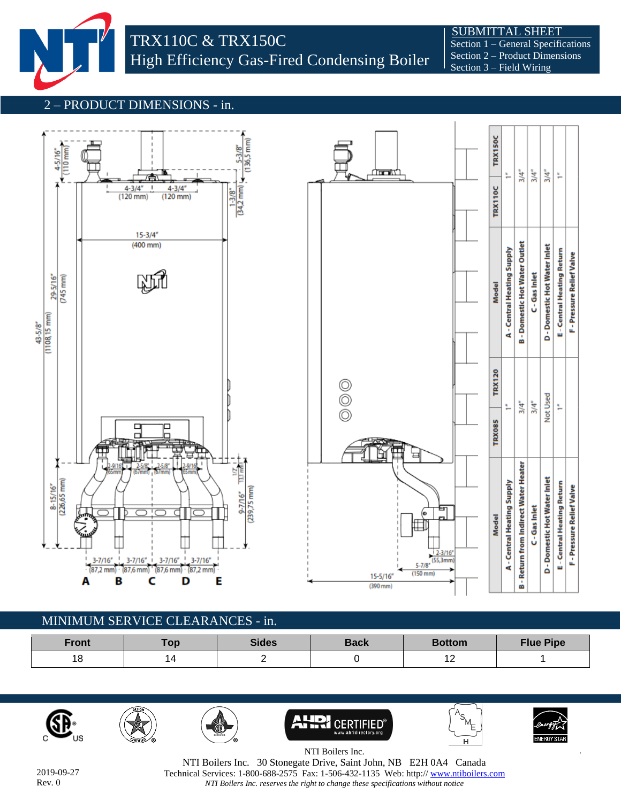

 SUBMITTAL SHEET Section 1 – General Specifications Section 2 – Product Dimensions Section 3 – Field Wiring

#### 2 – PRODUCT DIMENSIONS - in.





# MINIMUM SERVICE CLEARANCES - in.

| Front | Top | <b>Sides</b> | <b>Back</b> | <b>Bottom</b>                      | <b>Flue Pipe</b> |
|-------|-----|--------------|-------------|------------------------------------|------------------|
| 18    |     |              |             | $\overline{\phantom{a}}$<br>$\sim$ |                  |













*.*

F - Pressure Relief Valve

F - Pressure Relief Valve

2019-09-27 Rev. 0

NTI Boilers Inc. NTI Boilers Inc. 30 Stonegate Drive, Saint John, NB E2H 0A4 Canada Technical Services: 1-800-688-2575 Fax: 1-506-432-1135 Web: http:/[/ www.ntiboilers.com](http://www.ntiboilers.com/) *NTI Boilers Inc. reserves the right to change these specifications without notice*